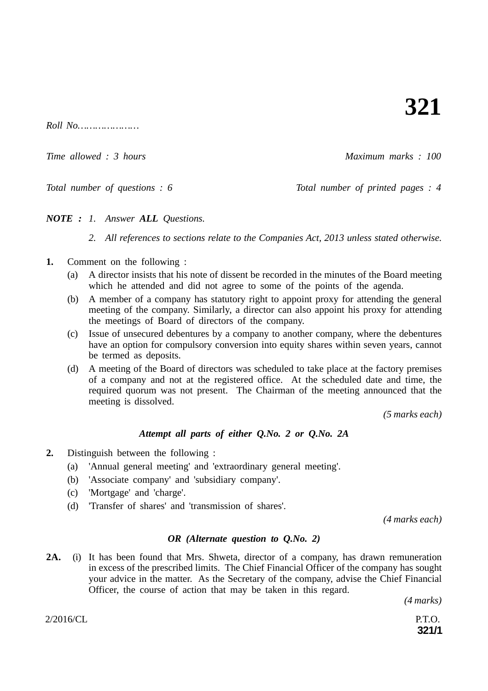*Roll No…………………*

*Time allowed : 3 hours* Allowed *: 3 hours* Allowed *i* 3 hours Allowed *i* 3 hours Allowed *i* 3 hours Allowed *i* 3 hours Allowed *i* 3 hours Allowed *i* 3 hours Allowed *i* 3 hours Allowed *i* 3 hours Allowed *i* 3 hou

*Total number of questions : 6 Total number of printed pages : 4*

*NOTE : 1. Answer ALL Questions.*

*2. All references to sections relate to the Companies Act, 2013 unless stated otherwise.*

- **1.** Comment on the following :
	- (a) A director insists that his note of dissent be recorded in the minutes of the Board meeting which he attended and did not agree to some of the points of the agenda.
	- (b) A member of a company has statutory right to appoint proxy for attending the general meeting of the company. Similarly, a director can also appoint his proxy for attending the meetings of Board of directors of the company.
	- (c) Issue of unsecured debentures by a company to another company, where the debentures have an option for compulsory conversion into equity shares within seven years, cannot be termed as deposits.
	- (d) A meeting of the Board of directors was scheduled to take place at the factory premises of a company and not at the registered office. At the scheduled date and time, the required quorum was not present. The Chairman of the meeting announced that the meeting is dissolved.

*(5 marks each)*

## *Attempt all parts of either Q.No. 2 or Q.No. 2A*

- **2.** Distinguish between the following :
	- (a) 'Annual general meeting' and 'extraordinary general meeting'.
	- (b) 'Associate company' and 'subsidiary company'.
	- (c) 'Mortgage' and 'charge'.
	- (d) 'Transfer of shares' and 'transmission of shares'.

*(4 marks each)*

### *OR (Alternate question to Q.No. 2)*

**2A.** (i) It has been found that Mrs. Shweta, director of a company, has drawn remuneration in excess of the prescribed limits. The Chief Financial Officer of the company has sought your advice in the matter. As the Secretary of the company, advise the Chief Financial Officer, the course of action that may be taken in this regard.

*(4 marks)*

**321/1**

 $2/2016/CL$  P.T.O.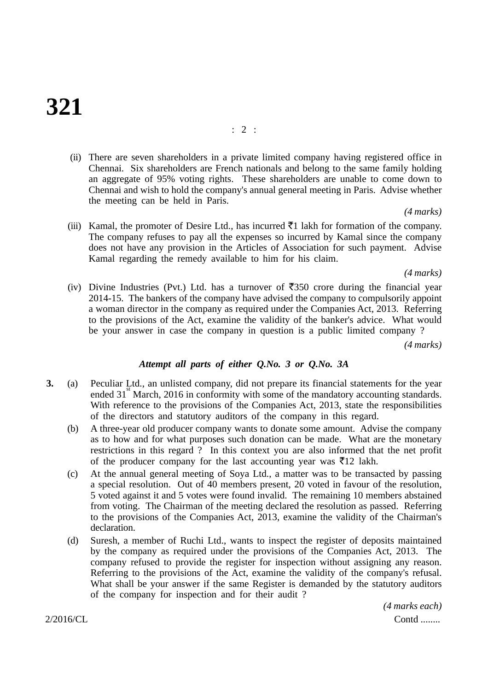# **321**

(ii) There are seven shareholders in a private limited company having registered office in Chennai. Six shareholders are French nationals and belong to the same family holding an aggregate of 95% voting rights. These shareholders are unable to come down to Chennai and wish to hold the company's annual general meeting in Paris. Advise whether the meeting can be held in Paris.

*(4 marks)*

(iii) Kamal, the promoter of Desire Ltd., has incurred  $\bar{\tau}$ 1 lakh for formation of the company. The company refuses to pay all the expenses so incurred by Kamal since the company does not have any provision in the Articles of Association for such payment. Advise Kamal regarding the remedy available to him for his claim.

*(4 marks)*

(iv) Divine Industries (Pvt.) Ltd. has a turnover of  $\overline{5}350$  crore during the financial year 2014-15. The bankers of the company have advised the company to compulsorily appoint a woman director in the company as required under the Companies Act, 2013. Referring to the provisions of the Act, examine the validity of the banker's advice. What would be your answer in case the company in question is a public limited company ?

*(4 marks)*

## *Attempt all parts of either Q.No. 3 or Q.No. 3A*

- **3.** (a) Peculiar Ltd., an unlisted company, did not prepare its financial statements for the year ended  $31^{\degree}$  March, 2016 in conformity with some of the mandatory accounting standards. With reference to the provisions of the Companies Act, 2013, state the responsibilities of the directors and statutory auditors of the company in this regard.
	- (b) A three-year old producer company wants to donate some amount. Advise the company as to how and for what purposes such donation can be made. What are the monetary restrictions in this regard ? In this context you are also informed that the net profit of the producer company for the last accounting year was  $\bar{\tau}$ 12 lakh.
	- (c) At the annual general meeting of Soya Ltd., a matter was to be transacted by passing a special resolution. Out of 40 members present, 20 voted in favour of the resolution, 5 voted against it and 5 votes were found invalid. The remaining 10 members abstained from voting. The Chairman of the meeting declared the resolution as passed. Referring to the provisions of the Companies Act, 2013, examine the validity of the Chairman's declaration.
	- (d) Suresh, a member of Ruchi Ltd., wants to inspect the register of deposits maintained by the company as required under the provisions of the Companies Act, 2013. The company refused to provide the register for inspection without assigning any reason. Referring to the provisions of the Act, examine the validity of the company's refusal. What shall be your answer if the same Register is demanded by the statutory auditors of the company for inspection and for their audit ?

2/2016/CL Contd ........ *(4 marks each)*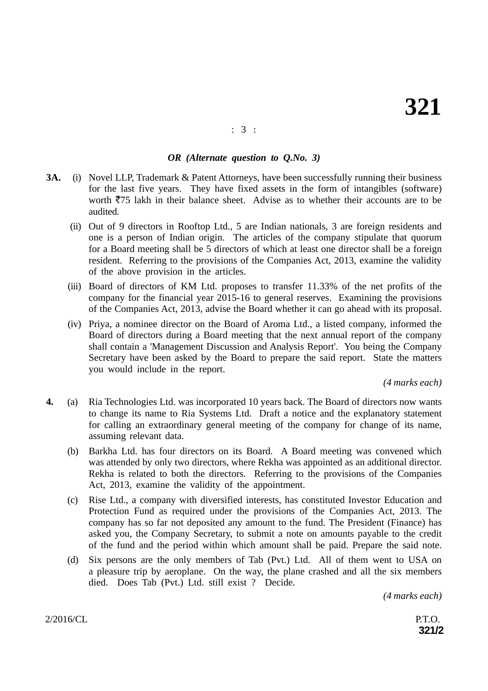## : 3 :

## *OR (Alternate question to Q.No. 3)*

- **3A.** (i) Novel LLP, Trademark & Patent Attorneys, have been successfully running their business for the last five years. They have fixed assets in the form of intangibles (software) worth  $\overline{575}$  lakh in their balance sheet. Advise as to whether their accounts are to be audited.
	- (ii) Out of 9 directors in Rooftop Ltd., 5 are Indian nationals, 3 are foreign residents and one is a person of Indian origin. The articles of the company stipulate that quorum for a Board meeting shall be 5 directors of which at least one director shall be a foreign resident. Referring to the provisions of the Companies Act, 2013, examine the validity of the above provision in the articles.
	- (iii) Board of directors of KM Ltd. proposes to transfer 11.33% of the net profits of the company for the financial year 2015-16 to general reserves. Examining the provisions of the Companies Act, 2013, advise the Board whether it can go ahead with its proposal.
	- (iv) Priya, a nominee director on the Board of Aroma Ltd., a listed company, informed the Board of directors during a Board meeting that the next annual report of the company shall contain a 'Management Discussion and Analysis Report'. You being the Company Secretary have been asked by the Board to prepare the said report. State the matters you would include in the report.

*(4 marks each)*

- **4.** (a) Ria Technologies Ltd. was incorporated 10 years back. The Board of directors now wants to change its name to Ria Systems Ltd. Draft a notice and the explanatory statement for calling an extraordinary general meeting of the company for change of its name, assuming relevant data.
	- (b) Barkha Ltd. has four directors on its Board. A Board meeting was convened which was attended by only two directors, where Rekha was appointed as an additional director. Rekha is related to both the directors. Referring to the provisions of the Companies Act, 2013, examine the validity of the appointment.
	- (c) Rise Ltd., a company with diversified interests, has constituted Investor Education and Protection Fund as required under the provisions of the Companies Act, 2013. The company has so far not deposited any amount to the fund. The President (Finance) has asked you, the Company Secretary, to submit a note on amounts payable to the credit of the fund and the period within which amount shall be paid. Prepare the said note.
	- (d) Six persons are the only members of Tab (Pvt.) Ltd. All of them went to USA on a pleasure trip by aeroplane. On the way, the plane crashed and all the six members died. Does Tab (Pvt.) Ltd. still exist ? Decide.

*(4 marks each)*

 $2/2016/CL$  P.T.O.

**321/2**